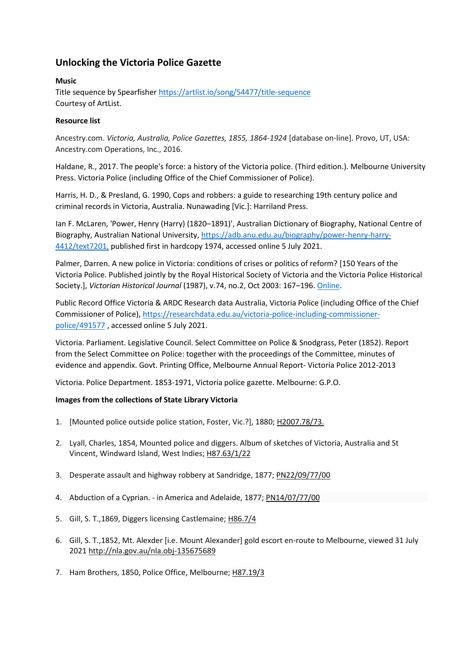## **Unlocking the Victoria Police Gazette**

## **Music**

Title sequence by Spearfishe[r https://artlist.io/song/54477/title-sequence](https://artlist.io/song/54477/title-sequence) Courtesy of ArtList.

## **Resource list**

Ancestry.com. *Victoria, Australia, Police Gazettes, 1855, 1864-1924* [database on-line]. Provo, UT, USA: Ancestry.com Operations, Inc., 2016.

Haldane, R., 2017. The people's force: a history of the Victoria police. (Third edition.). Melbourne University Press. Victoria Police (including Office of the Chief Commissioner of Police).

Harris, H. D., & Presland, G. 1990, Cops and robbers: a guide to researching 19th century police and criminal records in Victoria, Australia. Nunawading [Vic.]: Harriland Press.

Ian F. McLaren, 'Power, Henry (Harry) (1820–1891)', Australian Dictionary of Biography, National Centre of Biography, Australian National University, [https://adb.anu.edu.au/biography/power-henry-harry-](https://adb.anu.edu.au/biography/power-henry-harry-4412/text7201,)[4412/text7201,](https://adb.anu.edu.au/biography/power-henry-harry-4412/text7201,) published first in hardcopy 1974, accessed online 5 July 2021.

Palmer, Darren. A new police in Victoria: conditions of crises or politics of reform? [150 Years of the Victoria Police. Published jointly by the Royal Historical Society of Victoria and the Victoria Police Historical Society.], *Victorian Historical Journal* (1987), v.74, no.2, Oct 2003: 167–196[. Online.](http://digital.slv.vic.gov.au/R?func=collections&collection_id=1882)

Public Record Office Victoria & ARDC Research data Australia, Victoria Police (including Office of the Chief Commissioner of Police), [https://researchdata.edu.au/victoria-police-including-commissioner](https://researchdata.edu.au/victoria-police-including-commissioner-police/491577)[police/491577](https://researchdata.edu.au/victoria-police-including-commissioner-police/491577) , accessed online 5 July 2021.

Victoria. Parliament. Legislative Council. Select Committee on Police & Snodgrass, Peter (1852). Report from the Select Committee on Police: together with the proceedings of the Committee, minutes of evidence and appendix. Govt. Printing Office, Melbourne Annual Report- Victoria Police 2012-2013

Victoria. Police Department. 1853-1971, Victoria police gazette. Melbourne: G.P.O.

## **Images from the collections of State Library Victoria**

- 1. [Mounted police outside police station, Foster, Vic.?], 1880; [H2007.78/73.](http://handle.slv.vic.gov.au/10381/267395)
- 2. Lyall, Charles, 1854, Mounted police and diggers. Album of sketches of Victoria, Australia and St Vincent, Windward Island, West Indies; [H87.63/1/22](http://handle.slv.vic.gov.au/10381/71822)
- 3. Desperate assault and highway robbery at Sandridge, 1877; [PN22/09/77/00](http://handle.slv.vic.gov.au/10381/259042)
- 4. Abduction of a Cyprian. in America and Adelaide, 1877; [PN14/07/77/00](http://handle.slv.vic.gov.au/10381/259096)
- 5. Gill, S. T.,1869, Diggers licensing Castlemaine; [H86.7/4](http://handle.slv.vic.gov.au/10381/292881)
- 6. Gill, S. T.,1852, Mt. Alexder [i.e. Mount Alexander] gold escort en-route to Melbourne, viewed 31 July 2021 <http://nla.gov.au/nla.obj-135675689>
- 7. Ham Brothers, 1850, Police Office, Melbourne; [H87.19/3](http://handle.slv.vic.gov.au/10381/71923)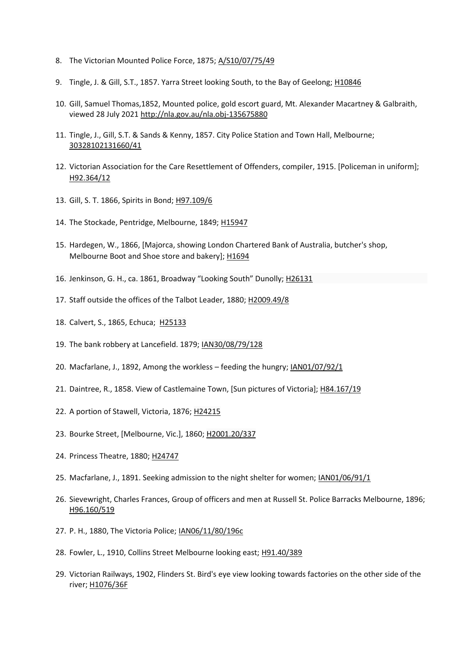- 8. The Victorian Mounted Police Force, 1875; [A/S10/07/75/49](http://handle.slv.vic.gov.au/10381/296636)
- 9. Tingle, J. & Gill, S.T., 1857. Yarra Street looking South, to the Bay of Geelong; [H10846](http://handle.slv.vic.gov.au/10381/221880)
- 10. Gill, Samuel Thomas,1852, Mounted police, gold escort guard, Mt. Alexander Macartney & Galbraith, viewed 28 July 2021<http://nla.gov.au/nla.obj-135675880>
- 11. Tingle, J., Gill, S.T. & Sands & Kenny, 1857. City Police Station and Town Hall, Melbourne; [30328102131660/41](http://handle.slv.vic.gov.au/10381/266974)
- 12. Victorian Association for the Care Resettlement of Offenders, compiler, 1915. [Policeman in uniform]; [H92.364/12](http://handle.slv.vic.gov.au/10381/81614)
- 13. Gill, S. T. 1866, Spirits in Bond; [H97.109/6](http://handle.slv.vic.gov.au/10381/303527)
- 14. The Stockade, Pentridge, Melbourne, 1849; [H15947](http://handle.slv.vic.gov.au/10381/91547)
- 15. Hardegen, W., 1866, [Majorca, showing London Chartered Bank of Australia, butcher's shop, Melbourne Boot and Shoe store and bakery]; [H1694](http://handle.slv.vic.gov.au/10381/336888)
- 16. Jenkinson, G. H., ca. 1861, Broadway "Looking South" Dunolly; [H26131](http://handle.slv.vic.gov.au/10381/155461)
- 17. Staff outside the offices of the Talbot Leader, 1880; [H2009.49/8](http://handle.slv.vic.gov.au/10381/331428)
- 18. Calvert, S., 1865, Echuca; [H25133](http://handle.slv.vic.gov.au/10381/290236)
- 19. The bank robbery at Lancefield. 1879; [IAN30/08/79/128](http://handle.slv.vic.gov.au/10381/252733)
- 20. Macfarlane, J., 1892, Among the workless feeding the hungry[; IAN01/07/92/1](http://handle.slv.vic.gov.au/10381/122519)
- 21. Daintree, R., 1858. View of Castlemaine Town, [Sun pictures of Victoria]; [H84.167/19](http://handle.slv.vic.gov.au/10381/294492)
- 22. A portion of Stawell, Victoria, 1876; [H24215](http://handle.slv.vic.gov.au/10381/290860)
- 23. Bourke Street, [Melbourne, Vic.], 1860; [H2001.20/337](http://handle.slv.vic.gov.au/10381/90755)
- 24. Princess Theatre, 1880; [H24747](http://handle.slv.vic.gov.au/10381/360747)
- 25. Macfarlane, J., 1891. Seeking admission to the night shelter for women[; IAN01/06/91/1](http://handle.slv.vic.gov.au/10381/256641)
- 26. Sievewright, Charles Frances, Group of officers and men at Russell St. Police Barracks Melbourne, 1896; [H96.160/519](http://handle.slv.vic.gov.au/10381/52853)
- 27. P. H., 1880, The Victoria Police[; IAN06/11/80/196c](http://handle.slv.vic.gov.au/10381/252589)
- 28. Fowler, L., 1910, Collins Street Melbourne looking east; [H91.40/389](http://handle.slv.vic.gov.au/10381/57350)
- 29. Victorian Railways, 1902, Flinders St. Bird's eye view looking towards factories on the other side of the river; [H1076/36F](http://handle.slv.vic.gov.au/10381/4192104)